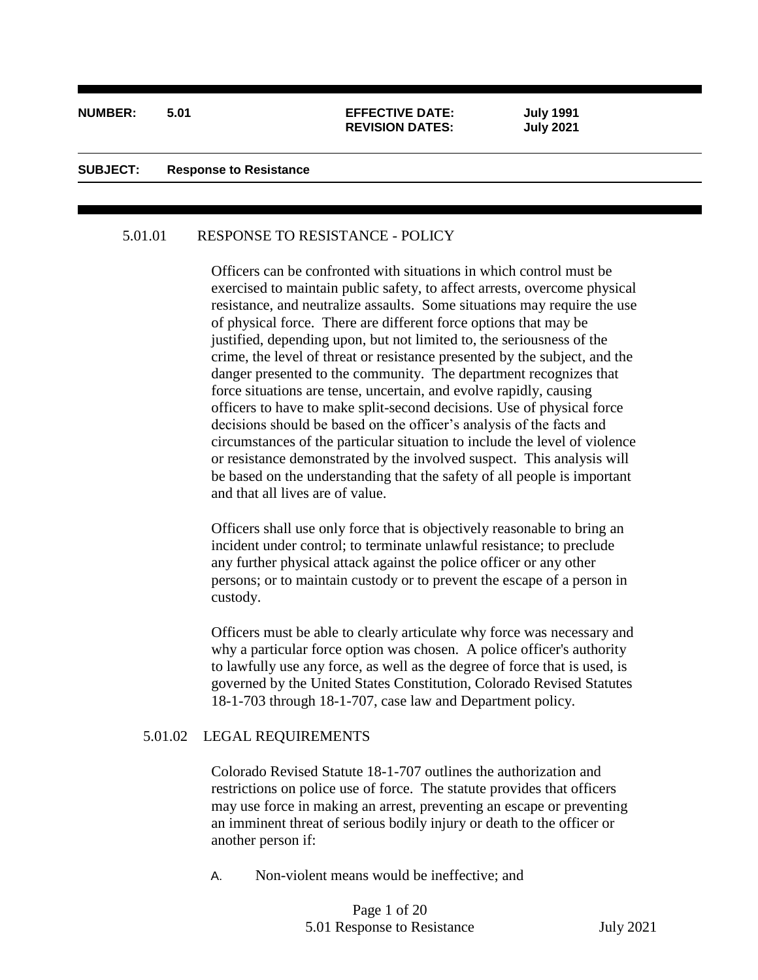#### **NUMBER: 5.01 EFFECTIVE DATE: July 1991**

# **REVISION DATES: July 2021**

ı

#### **SUBJECT: Response to Resistance**

#### 5.01.01 RESPONSE TO RESISTANCE - POLICY

Officers can be confronted with situations in which control must be exercised to maintain public safety, to affect arrests, overcome physical resistance, and neutralize assaults. Some situations may require the use of physical force. There are different force options that may be justified, depending upon, but not limited to, the seriousness of the crime, the level of threat or resistance presented by the subject, and the danger presented to the community. The department recognizes that force situations are tense, uncertain, and evolve rapidly, causing officers to have to make split-second decisions. Use of physical force decisions should be based on the officer's analysis of the facts and circumstances of the particular situation to include the level of violence or resistance demonstrated by the involved suspect. This analysis will be based on the understanding that the safety of all people is important and that all lives are of value.

Officers shall use only force that is objectively reasonable to bring an incident under control; to terminate unlawful resistance; to preclude any further physical attack against the police officer or any other persons; or to maintain custody or to prevent the escape of a person in custody.

Officers must be able to clearly articulate why force was necessary and why a particular force option was chosen. A police officer's authority to lawfully use any force, as well as the degree of force that is used, is governed by the United States Constitution, Colorado Revised Statutes 18-1-703 through 18-1-707, case law and Department policy.

#### 5.01.02 LEGAL REQUIREMENTS

Colorado Revised Statute 18-1-707 outlines the authorization and restrictions on police use of force. The statute provides that officers may use force in making an arrest, preventing an escape or preventing an imminent threat of serious bodily injury or death to the officer or another person if:

A. Non-violent means would be ineffective; and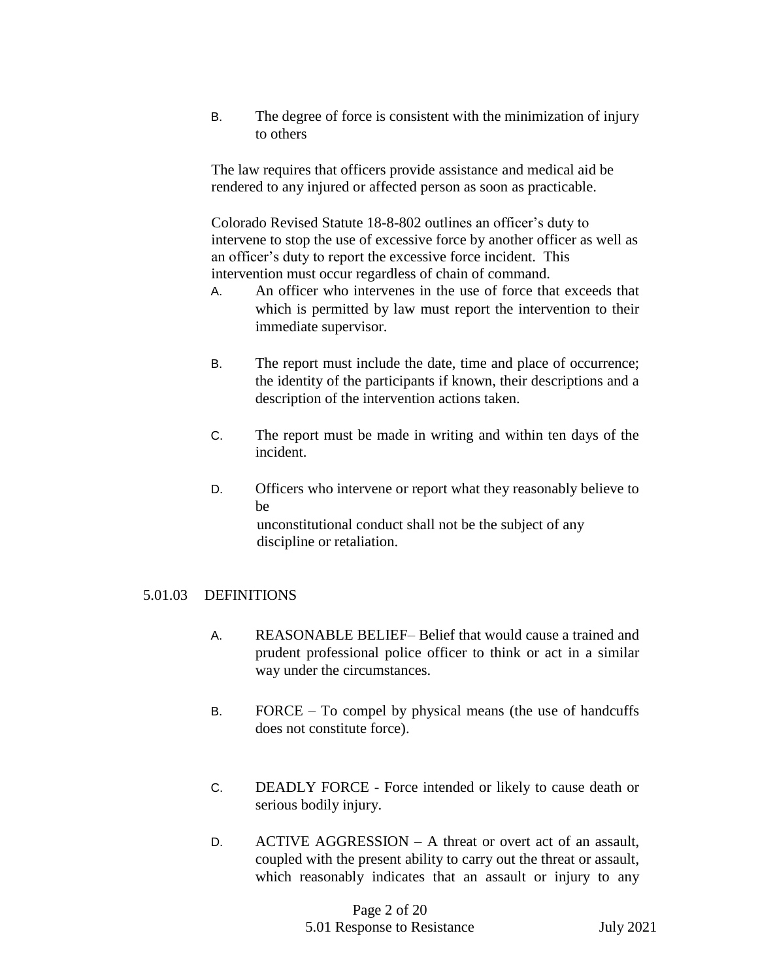B. The degree of force is consistent with the minimization of injury to others

The law requires that officers provide assistance and medical aid be rendered to any injured or affected person as soon as practicable.

Colorado Revised Statute 18-8-802 outlines an officer's duty to intervene to stop the use of excessive force by another officer as well as an officer's duty to report the excessive force incident. This intervention must occur regardless of chain of command.

- A. An officer who intervenes in the use of force that exceeds that which is permitted by law must report the intervention to their immediate supervisor.
- B. The report must include the date, time and place of occurrence; the identity of the participants if known, their descriptions and a description of the intervention actions taken.
- C. The report must be made in writing and within ten days of the incident.
- D. Officers who intervene or report what they reasonably believe to be unconstitutional conduct shall not be the subject of any discipline or retaliation.

# 5.01.03 DEFINITIONS

- A. REASONABLE BELIEF– Belief that would cause a trained and prudent professional police officer to think or act in a similar way under the circumstances.
- B. FORCE To compel by physical means (the use of handcuffs does not constitute force).
- C. DEADLY FORCE Force intended or likely to cause death or serious bodily injury.
- D. ACTIVE AGGRESSION A threat or overt act of an assault, coupled with the present ability to carry out the threat or assault, which reasonably indicates that an assault or injury to any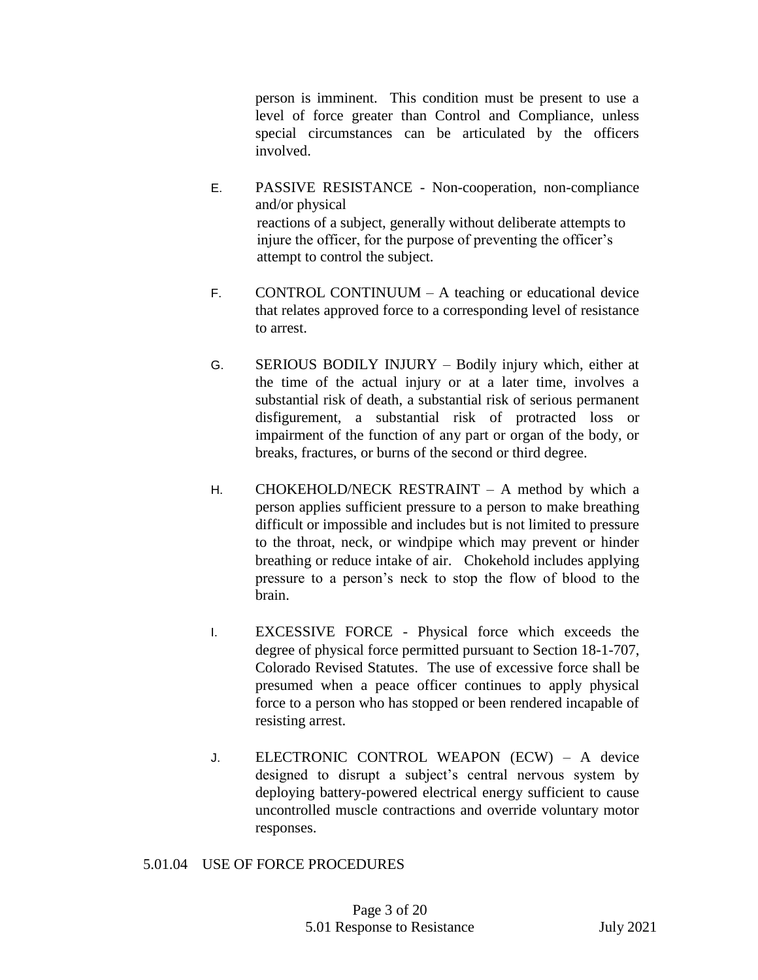person is imminent. This condition must be present to use a level of force greater than Control and Compliance, unless special circumstances can be articulated by the officers involved.

- E. PASSIVE RESISTANCE Non-cooperation, non-compliance and/or physical reactions of a subject, generally without deliberate attempts to injure the officer, for the purpose of preventing the officer's attempt to control the subject.
- F. CONTROL CONTINUUM A teaching or educational device that relates approved force to a corresponding level of resistance to arrest.
- G. SERIOUS BODILY INJURY Bodily injury which, either at the time of the actual injury or at a later time, involves a substantial risk of death, a substantial risk of serious permanent disfigurement, a substantial risk of protracted loss or impairment of the function of any part or organ of the body, or breaks, fractures, or burns of the second or third degree.
- H. CHOKEHOLD/NECK RESTRAINT A method by which a person applies sufficient pressure to a person to make breathing difficult or impossible and includes but is not limited to pressure to the throat, neck, or windpipe which may prevent or hinder breathing or reduce intake of air. Chokehold includes applying pressure to a person's neck to stop the flow of blood to the brain.
- I. EXCESSIVE FORCE Physical force which exceeds the degree of physical force permitted pursuant to Section 18-1-707, Colorado Revised Statutes. The use of excessive force shall be presumed when a peace officer continues to apply physical force to a person who has stopped or been rendered incapable of resisting arrest.
- J. ELECTRONIC CONTROL WEAPON (ECW) A device designed to disrupt a subject's central nervous system by deploying battery-powered electrical energy sufficient to cause uncontrolled muscle contractions and override voluntary motor responses.

# 5.01.04 USE OF FORCE PROCEDURES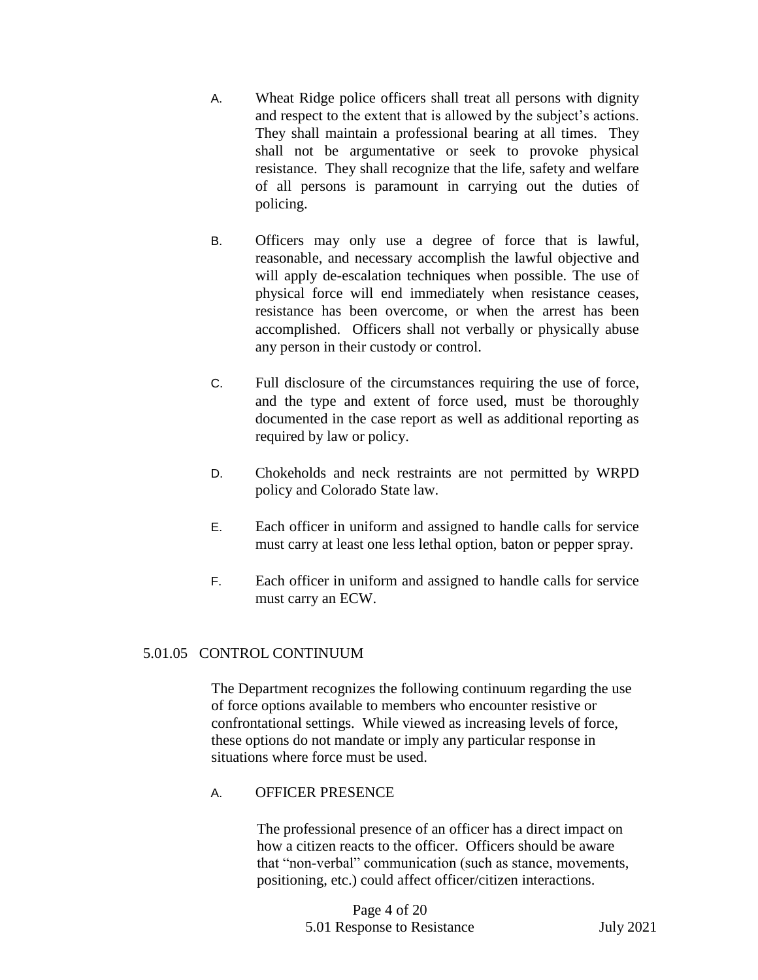- A. Wheat Ridge police officers shall treat all persons with dignity and respect to the extent that is allowed by the subject's actions. They shall maintain a professional bearing at all times. They shall not be argumentative or seek to provoke physical resistance. They shall recognize that the life, safety and welfare of all persons is paramount in carrying out the duties of policing.
- B. Officers may only use a degree of force that is lawful, reasonable, and necessary accomplish the lawful objective and will apply de-escalation techniques when possible. The use of physical force will end immediately when resistance ceases, resistance has been overcome, or when the arrest has been accomplished. Officers shall not verbally or physically abuse any person in their custody or control.
- C. Full disclosure of the circumstances requiring the use of force, and the type and extent of force used, must be thoroughly documented in the case report as well as additional reporting as required by law or policy.
- D. Chokeholds and neck restraints are not permitted by WRPD policy and Colorado State law.
- E. Each officer in uniform and assigned to handle calls for service must carry at least one less lethal option, baton or pepper spray.
- F. Each officer in uniform and assigned to handle calls for service must carry an ECW.

# 5.01.05 CONTROL CONTINUUM

The Department recognizes the following continuum regarding the use of force options available to members who encounter resistive or confrontational settings. While viewed as increasing levels of force, these options do not mandate or imply any particular response in situations where force must be used.

A. OFFICER PRESENCE

The professional presence of an officer has a direct impact on how a citizen reacts to the officer. Officers should be aware that "non-verbal" communication (such as stance, movements, positioning, etc.) could affect officer/citizen interactions.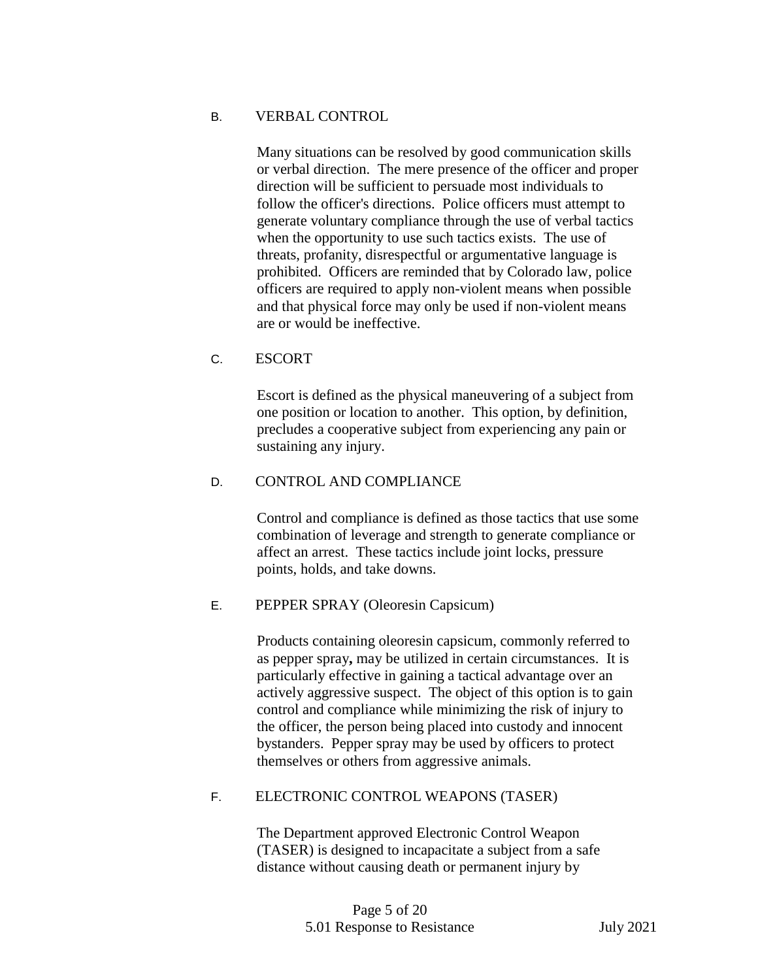## B. VERBAL CONTROL

Many situations can be resolved by good communication skills or verbal direction. The mere presence of the officer and proper direction will be sufficient to persuade most individuals to follow the officer's directions. Police officers must attempt to generate voluntary compliance through the use of verbal tactics when the opportunity to use such tactics exists. The use of threats, profanity, disrespectful or argumentative language is prohibited. Officers are reminded that by Colorado law, police officers are required to apply non-violent means when possible and that physical force may only be used if non-violent means are or would be ineffective.

## C. ESCORT

Escort is defined as the physical maneuvering of a subject from one position or location to another. This option, by definition, precludes a cooperative subject from experiencing any pain or sustaining any injury.

## D. CONTROL AND COMPLIANCE

Control and compliance is defined as those tactics that use some combination of leverage and strength to generate compliance or affect an arrest. These tactics include joint locks, pressure points, holds, and take downs.

#### E. PEPPER SPRAY (Oleoresin Capsicum)

Products containing oleoresin capsicum, commonly referred to as pepper spray**,** may be utilized in certain circumstances. It is particularly effective in gaining a tactical advantage over an actively aggressive suspect. The object of this option is to gain control and compliance while minimizing the risk of injury to the officer, the person being placed into custody and innocent bystanders. Pepper spray may be used by officers to protect themselves or others from aggressive animals.

# F. ELECTRONIC CONTROL WEAPONS (TASER)

The Department approved Electronic Control Weapon (TASER) is designed to incapacitate a subject from a safe distance without causing death or permanent injury by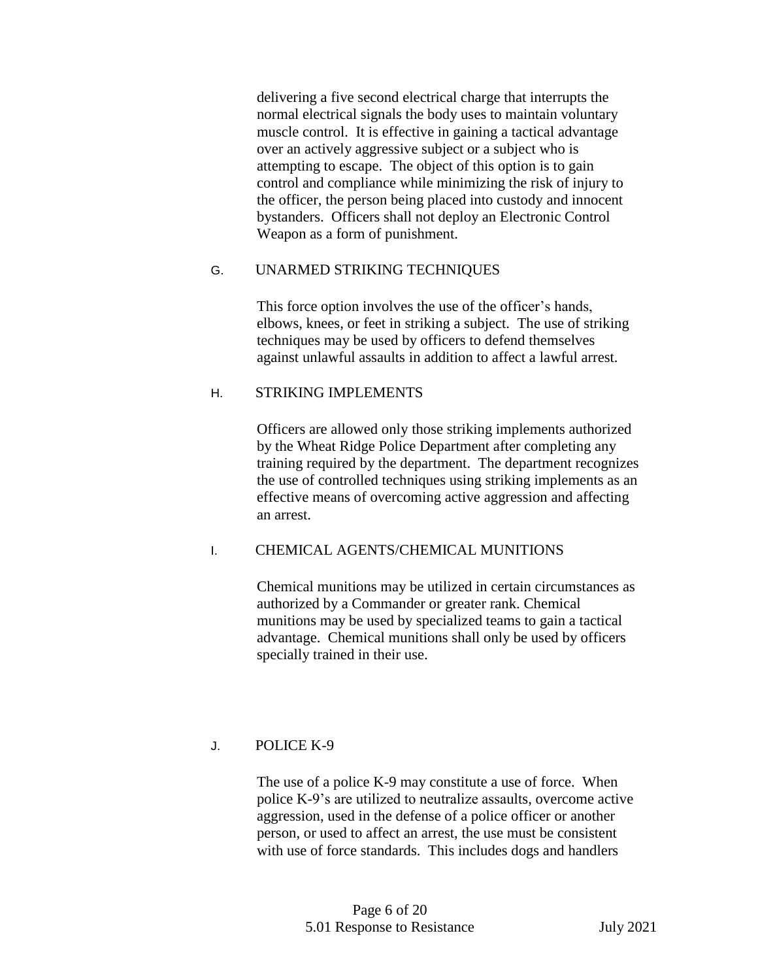delivering a five second electrical charge that interrupts the normal electrical signals the body uses to maintain voluntary muscle control. It is effective in gaining a tactical advantage over an actively aggressive subject or a subject who is attempting to escape. The object of this option is to gain control and compliance while minimizing the risk of injury to the officer, the person being placed into custody and innocent bystanders. Officers shall not deploy an Electronic Control Weapon as a form of punishment.

# G. UNARMED STRIKING TECHNIQUES

This force option involves the use of the officer's hands, elbows, knees, or feet in striking a subject. The use of striking techniques may be used by officers to defend themselves against unlawful assaults in addition to affect a lawful arrest.

## H. STRIKING IMPLEMENTS

Officers are allowed only those striking implements authorized by the Wheat Ridge Police Department after completing any training required by the department. The department recognizes the use of controlled techniques using striking implements as an effective means of overcoming active aggression and affecting an arrest.

# I. CHEMICAL AGENTS/CHEMICAL MUNITIONS

Chemical munitions may be utilized in certain circumstances as authorized by a Commander or greater rank. Chemical munitions may be used by specialized teams to gain a tactical advantage. Chemical munitions shall only be used by officers specially trained in their use.

# J. POLICE K-9

The use of a police K-9 may constitute a use of force. When police K-9's are utilized to neutralize assaults, overcome active aggression, used in the defense of a police officer or another person, or used to affect an arrest, the use must be consistent with use of force standards. This includes dogs and handlers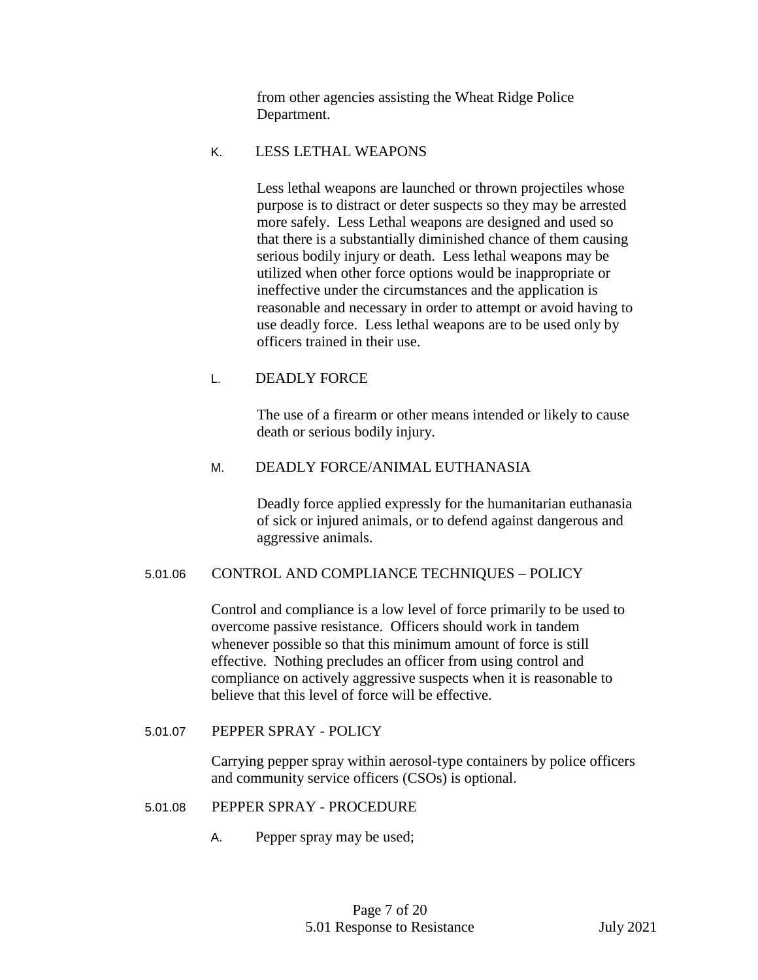from other agencies assisting the Wheat Ridge Police Department.

#### K. LESS LETHAL WEAPONS

Less lethal weapons are launched or thrown projectiles whose purpose is to distract or deter suspects so they may be arrested more safely. Less Lethal weapons are designed and used so that there is a substantially diminished chance of them causing serious bodily injury or death. Less lethal weapons may be utilized when other force options would be inappropriate or ineffective under the circumstances and the application is reasonable and necessary in order to attempt or avoid having to use deadly force. Less lethal weapons are to be used only by officers trained in their use.

# L. DEADLY FORCE

The use of a firearm or other means intended or likely to cause death or serious bodily injury.

## M. DEADLY FORCE/ANIMAL EUTHANASIA

Deadly force applied expressly for the humanitarian euthanasia of sick or injured animals, or to defend against dangerous and aggressive animals.

#### 5.01.06 CONTROL AND COMPLIANCE TECHNIQUES – POLICY

Control and compliance is a low level of force primarily to be used to overcome passive resistance. Officers should work in tandem whenever possible so that this minimum amount of force is still effective. Nothing precludes an officer from using control and compliance on actively aggressive suspects when it is reasonable to believe that this level of force will be effective.

#### 5.01.07 PEPPER SPRAY - POLICY

Carrying pepper spray within aerosol-type containers by police officers and community service officers (CSOs) is optional.

#### 5.01.08 PEPPER SPRAY - PROCEDURE

A. Pepper spray may be used;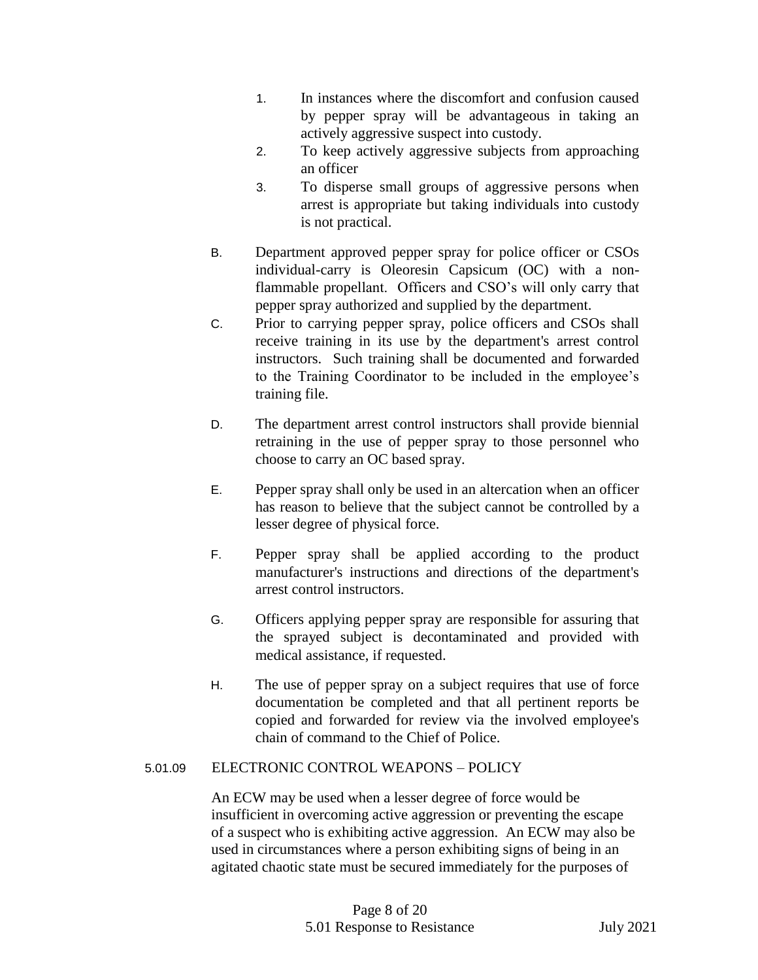- 1. In instances where the discomfort and confusion caused by pepper spray will be advantageous in taking an actively aggressive suspect into custody.
- 2. To keep actively aggressive subjects from approaching an officer
- 3. To disperse small groups of aggressive persons when arrest is appropriate but taking individuals into custody is not practical.
- B. Department approved pepper spray for police officer or CSOs individual-carry is Oleoresin Capsicum (OC) with a nonflammable propellant. Officers and CSO's will only carry that pepper spray authorized and supplied by the department.
- C. Prior to carrying pepper spray, police officers and CSOs shall receive training in its use by the department's arrest control instructors. Such training shall be documented and forwarded to the Training Coordinator to be included in the employee's training file.
- D. The department arrest control instructors shall provide biennial retraining in the use of pepper spray to those personnel who choose to carry an OC based spray.
- E. Pepper spray shall only be used in an altercation when an officer has reason to believe that the subject cannot be controlled by a lesser degree of physical force.
- F. Pepper spray shall be applied according to the product manufacturer's instructions and directions of the department's arrest control instructors.
- G. Officers applying pepper spray are responsible for assuring that the sprayed subject is decontaminated and provided with medical assistance, if requested.
- H. The use of pepper spray on a subject requires that use of force documentation be completed and that all pertinent reports be copied and forwarded for review via the involved employee's chain of command to the Chief of Police.

# 5.01.09 ELECTRONIC CONTROL WEAPONS – POLICY

An ECW may be used when a lesser degree of force would be insufficient in overcoming active aggression or preventing the escape of a suspect who is exhibiting active aggression. An ECW may also be used in circumstances where a person exhibiting signs of being in an agitated chaotic state must be secured immediately for the purposes of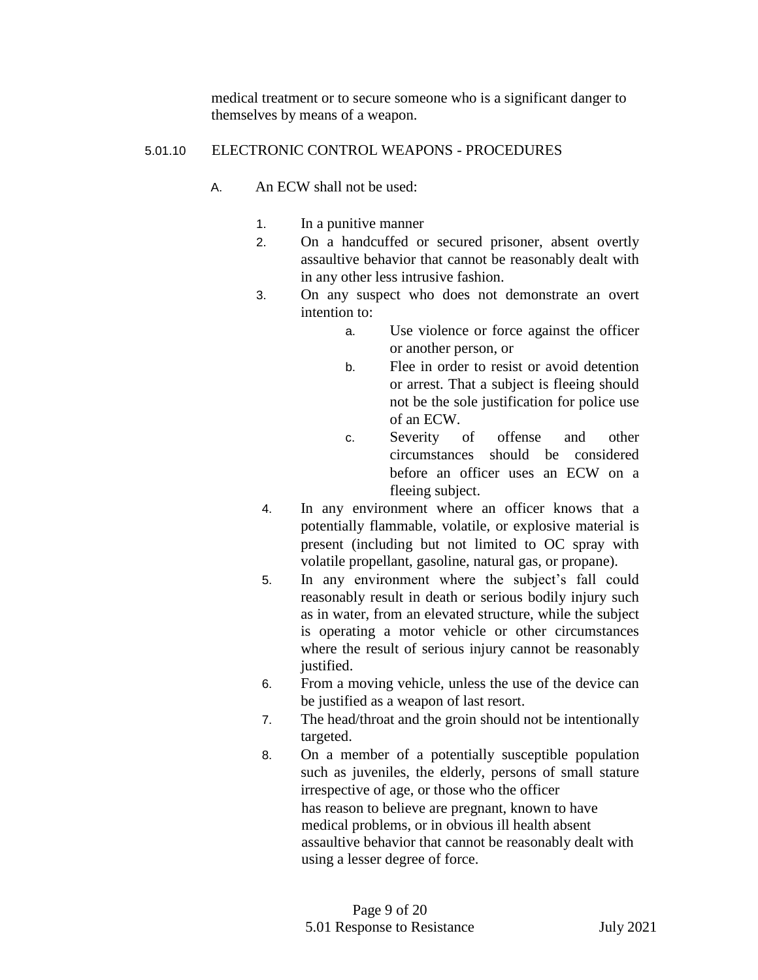medical treatment or to secure someone who is a significant danger to themselves by means of a weapon.

## 5.01.10 ELECTRONIC CONTROL WEAPONS - PROCEDURES

- A. An ECW shall not be used:
	- 1. In a punitive manner
	- 2. On a handcuffed or secured prisoner, absent overtly assaultive behavior that cannot be reasonably dealt with in any other less intrusive fashion.
	- 3. On any suspect who does not demonstrate an overt intention to:
		- a. Use violence or force against the officer or another person, or
		- b. Flee in order to resist or avoid detention or arrest. That a subject is fleeing should not be the sole justification for police use of an ECW.
		- c. Severity of offense and other circumstances should be considered before an officer uses an ECW on a fleeing subject.
	- 4. In any environment where an officer knows that a potentially flammable, volatile, or explosive material is present (including but not limited to OC spray with volatile propellant, gasoline, natural gas, or propane).
	- 5. In any environment where the subject's fall could reasonably result in death or serious bodily injury such as in water, from an elevated structure, while the subject is operating a motor vehicle or other circumstances where the result of serious injury cannot be reasonably justified.
	- 6. From a moving vehicle, unless the use of the device can be justified as a weapon of last resort.
	- 7. The head/throat and the groin should not be intentionally targeted.
	- 8. On a member of a potentially susceptible population such as juveniles, the elderly, persons of small stature irrespective of age, or those who the officer has reason to believe are pregnant, known to have medical problems, or in obvious ill health absent assaultive behavior that cannot be reasonably dealt with using a lesser degree of force.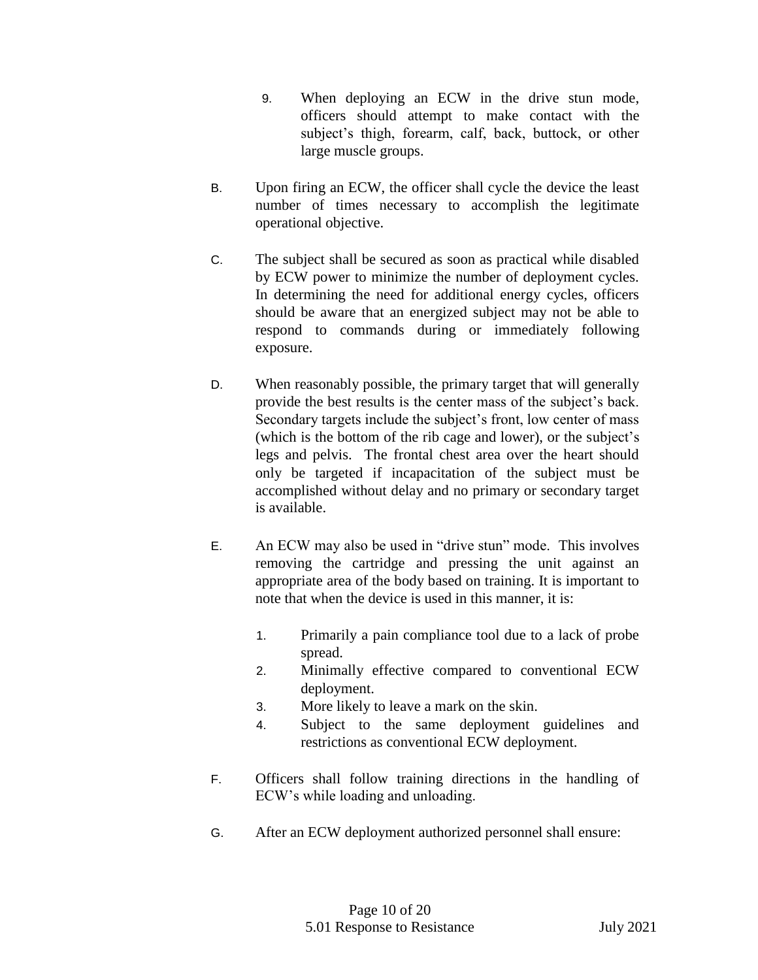- 9. When deploying an ECW in the drive stun mode, officers should attempt to make contact with the subject's thigh, forearm, calf, back, buttock, or other large muscle groups.
- B. Upon firing an ECW, the officer shall cycle the device the least number of times necessary to accomplish the legitimate operational objective.
- C. The subject shall be secured as soon as practical while disabled by ECW power to minimize the number of deployment cycles. In determining the need for additional energy cycles, officers should be aware that an energized subject may not be able to respond to commands during or immediately following exposure.
- D. When reasonably possible, the primary target that will generally provide the best results is the center mass of the subject's back. Secondary targets include the subject's front, low center of mass (which is the bottom of the rib cage and lower), or the subject's legs and pelvis. The frontal chest area over the heart should only be targeted if incapacitation of the subject must be accomplished without delay and no primary or secondary target is available.
- E. An ECW may also be used in "drive stun" mode. This involves removing the cartridge and pressing the unit against an appropriate area of the body based on training. It is important to note that when the device is used in this manner, it is:
	- 1. Primarily a pain compliance tool due to a lack of probe spread.
	- 2. Minimally effective compared to conventional ECW deployment.
	- 3. More likely to leave a mark on the skin.
	- 4. Subject to the same deployment guidelines and restrictions as conventional ECW deployment.
- F. Officers shall follow training directions in the handling of ECW's while loading and unloading.
- G. After an ECW deployment authorized personnel shall ensure: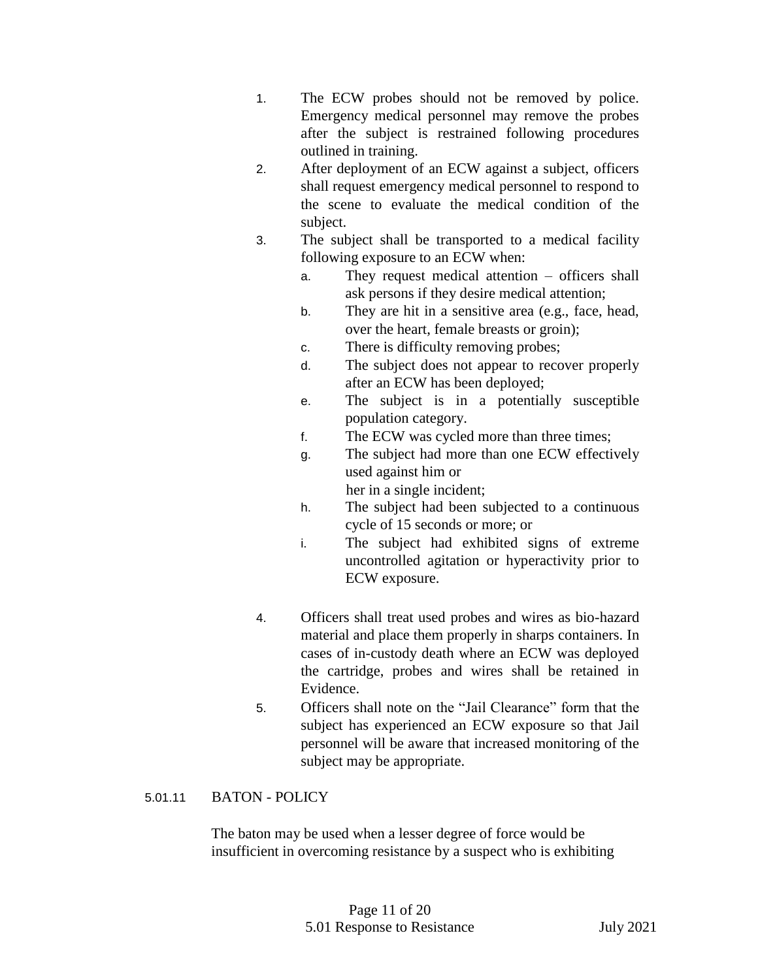- 1. The ECW probes should not be removed by police. Emergency medical personnel may remove the probes after the subject is restrained following procedures outlined in training.
- 2. After deployment of an ECW against a subject, officers shall request emergency medical personnel to respond to the scene to evaluate the medical condition of the subject.
- 3. The subject shall be transported to a medical facility following exposure to an ECW when:
	- a. They request medical attention officers shall ask persons if they desire medical attention;
	- b. They are hit in a sensitive area (e.g., face, head, over the heart, female breasts or groin);
	- c. There is difficulty removing probes;
	- d. The subject does not appear to recover properly after an ECW has been deployed;
	- e. The subject is in a potentially susceptible population category.
	- f. The ECW was cycled more than three times;
	- g. The subject had more than one ECW effectively used against him or
		- her in a single incident;
	- h. The subject had been subjected to a continuous cycle of 15 seconds or more; or
	- i. The subject had exhibited signs of extreme uncontrolled agitation or hyperactivity prior to ECW exposure.
- 4. Officers shall treat used probes and wires as bio-hazard material and place them properly in sharps containers. In cases of in-custody death where an ECW was deployed the cartridge, probes and wires shall be retained in Evidence.
- 5. Officers shall note on the "Jail Clearance" form that the subject has experienced an ECW exposure so that Jail personnel will be aware that increased monitoring of the subject may be appropriate.

# 5.01.11 BATON - POLICY

The baton may be used when a lesser degree of force would be insufficient in overcoming resistance by a suspect who is exhibiting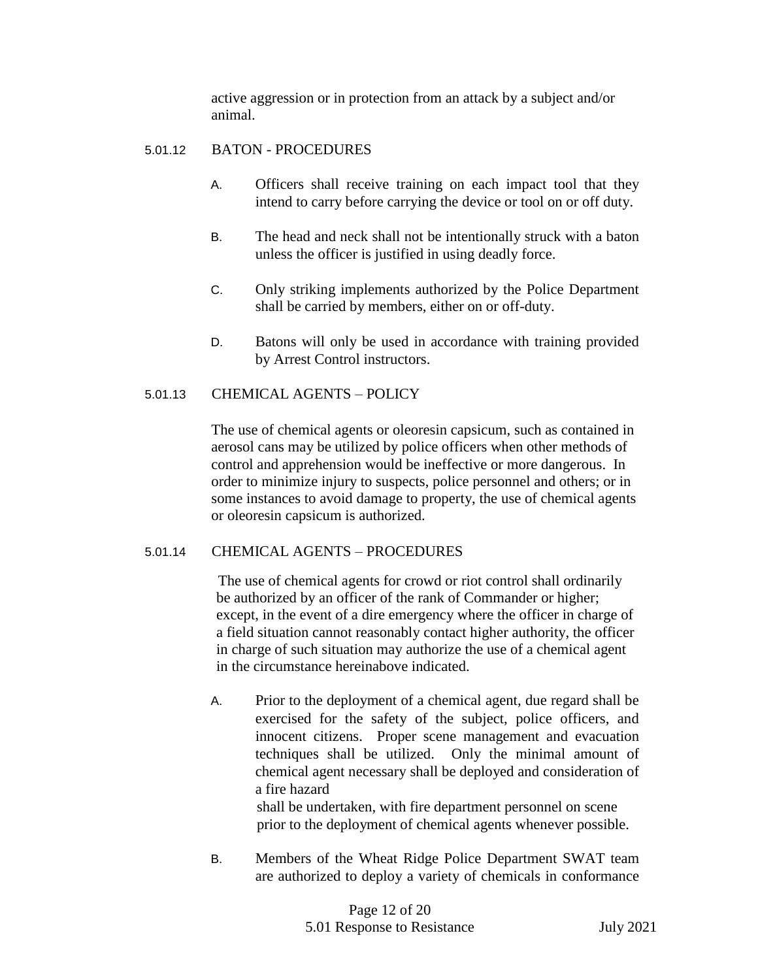active aggression or in protection from an attack by a subject and/or animal.

## 5.01.12 BATON - PROCEDURES

- A. Officers shall receive training on each impact tool that they intend to carry before carrying the device or tool on or off duty.
- B. The head and neck shall not be intentionally struck with a baton unless the officer is justified in using deadly force.
- C. Only striking implements authorized by the Police Department shall be carried by members, either on or off-duty.
- D. Batons will only be used in accordance with training provided by Arrest Control instructors.

## 5.01.13 CHEMICAL AGENTS – POLICY

The use of chemical agents or oleoresin capsicum, such as contained in aerosol cans may be utilized by police officers when other methods of control and apprehension would be ineffective or more dangerous. In order to minimize injury to suspects, police personnel and others; or in some instances to avoid damage to property, the use of chemical agents or oleoresin capsicum is authorized.

#### 5.01.14 CHEMICAL AGENTS – PROCEDURES

 The use of chemical agents for crowd or riot control shall ordinarily be authorized by an officer of the rank of Commander or higher; except, in the event of a dire emergency where the officer in charge of a field situation cannot reasonably contact higher authority, the officer in charge of such situation may authorize the use of a chemical agent in the circumstance hereinabove indicated.

A. Prior to the deployment of a chemical agent, due regard shall be exercised for the safety of the subject, police officers, and innocent citizens. Proper scene management and evacuation techniques shall be utilized. Only the minimal amount of chemical agent necessary shall be deployed and consideration of a fire hazard

shall be undertaken, with fire department personnel on scene prior to the deployment of chemical agents whenever possible.

B. Members of the Wheat Ridge Police Department SWAT team are authorized to deploy a variety of chemicals in conformance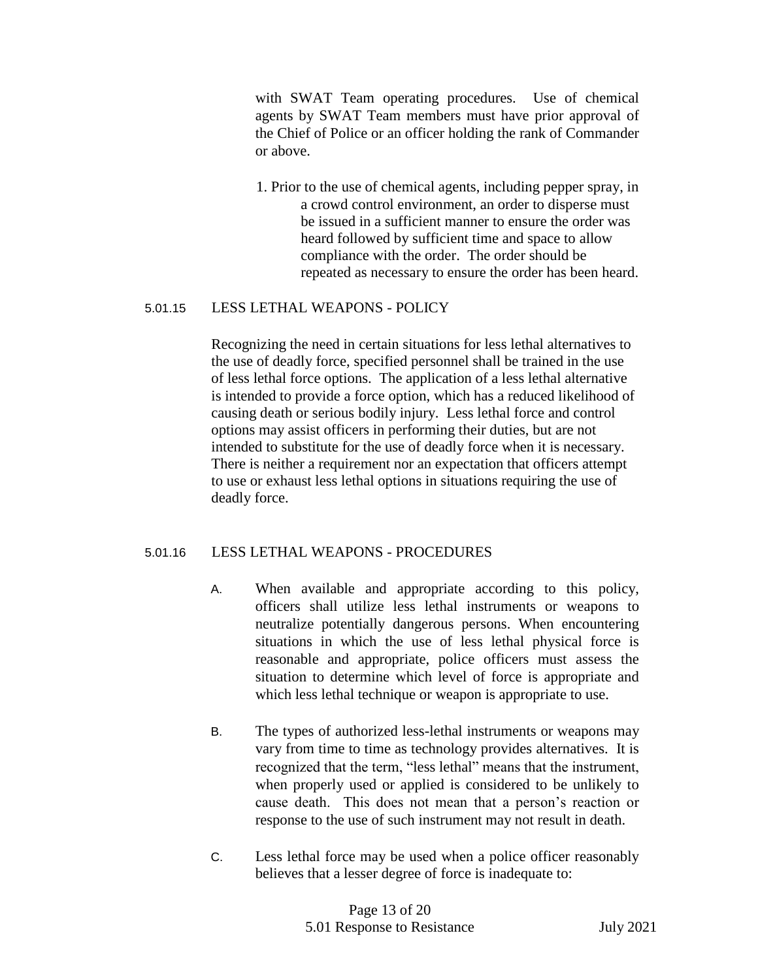with SWAT Team operating procedures. Use of chemical agents by SWAT Team members must have prior approval of the Chief of Police or an officer holding the rank of Commander or above.

1. Prior to the use of chemical agents, including pepper spray, in a crowd control environment, an order to disperse must be issued in a sufficient manner to ensure the order was heard followed by sufficient time and space to allow compliance with the order. The order should be repeated as necessary to ensure the order has been heard.

#### 5.01.15 LESS LETHAL WEAPONS - POLICY

Recognizing the need in certain situations for less lethal alternatives to the use of deadly force, specified personnel shall be trained in the use of less lethal force options. The application of a less lethal alternative is intended to provide a force option, which has a reduced likelihood of causing death or serious bodily injury. Less lethal force and control options may assist officers in performing their duties, but are not intended to substitute for the use of deadly force when it is necessary. There is neither a requirement nor an expectation that officers attempt to use or exhaust less lethal options in situations requiring the use of deadly force.

# 5.01.16 LESS LETHAL WEAPONS - PROCEDURES

- A. When available and appropriate according to this policy, officers shall utilize less lethal instruments or weapons to neutralize potentially dangerous persons. When encountering situations in which the use of less lethal physical force is reasonable and appropriate, police officers must assess the situation to determine which level of force is appropriate and which less lethal technique or weapon is appropriate to use.
- B. The types of authorized less-lethal instruments or weapons may vary from time to time as technology provides alternatives. It is recognized that the term, "less lethal" means that the instrument, when properly used or applied is considered to be unlikely to cause death. This does not mean that a person's reaction or response to the use of such instrument may not result in death.
- C. Less lethal force may be used when a police officer reasonably believes that a lesser degree of force is inadequate to: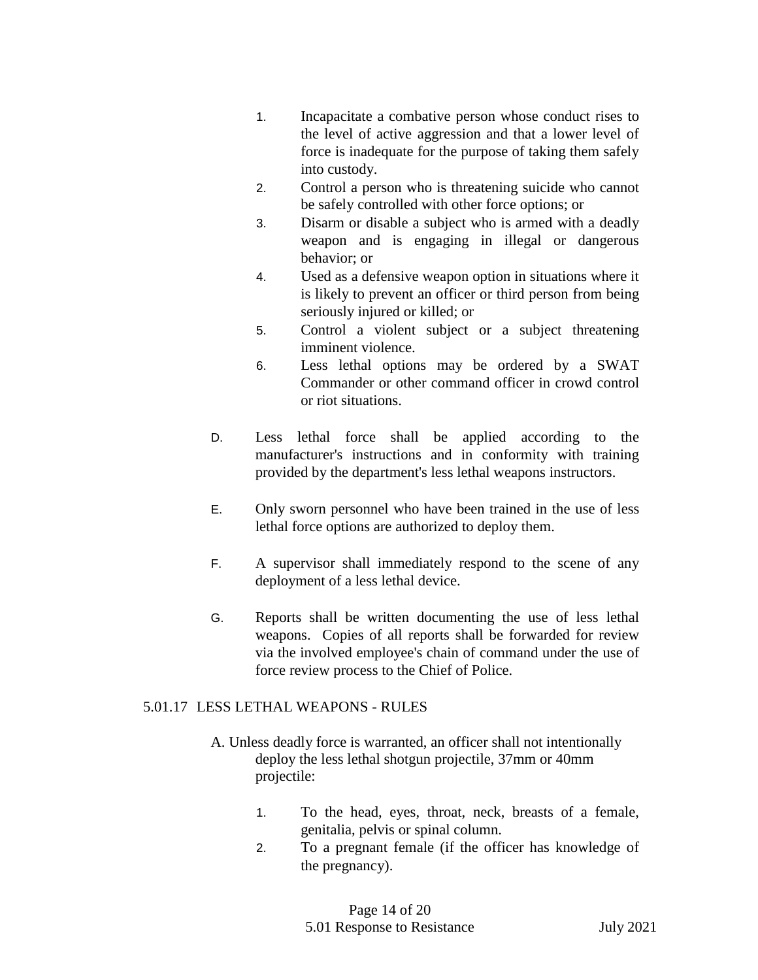- 1. Incapacitate a combative person whose conduct rises to the level of active aggression and that a lower level of force is inadequate for the purpose of taking them safely into custody.
- 2. Control a person who is threatening suicide who cannot be safely controlled with other force options; or
- 3. Disarm or disable a subject who is armed with a deadly weapon and is engaging in illegal or dangerous behavior; or
- 4. Used as a defensive weapon option in situations where it is likely to prevent an officer or third person from being seriously injured or killed; or
- 5. Control a violent subject or a subject threatening imminent violence.
- 6. Less lethal options may be ordered by a SWAT Commander or other command officer in crowd control or riot situations.
- D. Less lethal force shall be applied according to the manufacturer's instructions and in conformity with training provided by the department's less lethal weapons instructors.
- E. Only sworn personnel who have been trained in the use of less lethal force options are authorized to deploy them.
- F. A supervisor shall immediately respond to the scene of any deployment of a less lethal device.
- G. Reports shall be written documenting the use of less lethal weapons. Copies of all reports shall be forwarded for review via the involved employee's chain of command under the use of force review process to the Chief of Police.

# 5.01.17 LESS LETHAL WEAPONS - RULES

- A. Unless deadly force is warranted, an officer shall not intentionally deploy the less lethal shotgun projectile, 37mm or 40mm projectile:
	- 1. To the head, eyes, throat, neck, breasts of a female, genitalia, pelvis or spinal column.
	- 2. To a pregnant female (if the officer has knowledge of the pregnancy).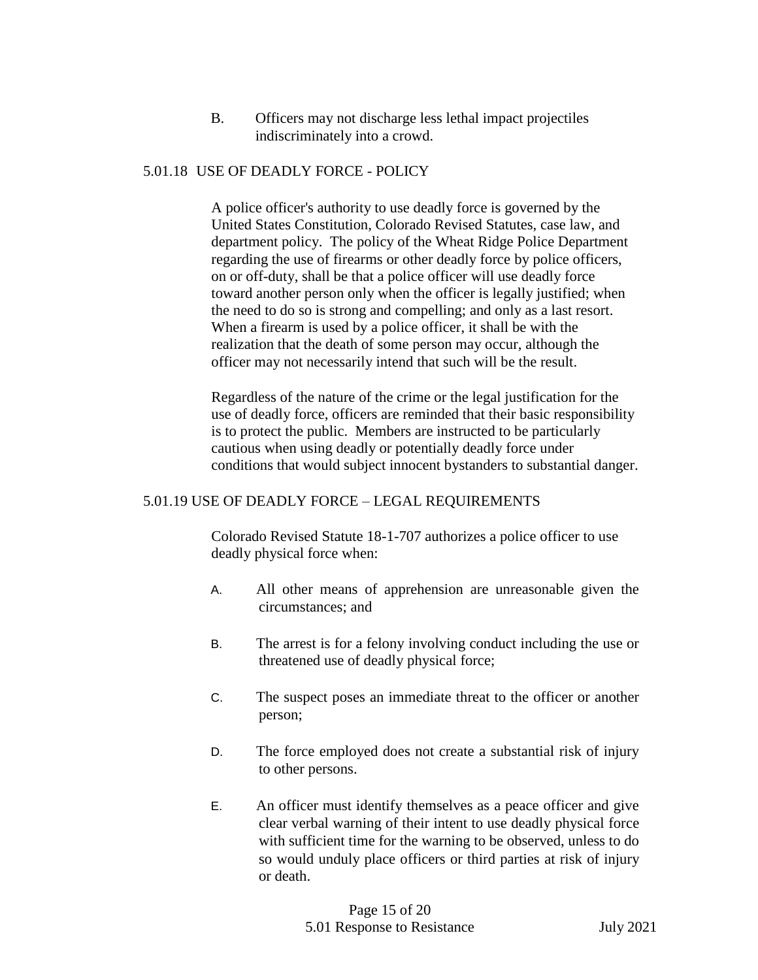B. Officers may not discharge less lethal impact projectiles indiscriminately into a crowd.

## 5.01.18 USE OF DEADLY FORCE - POLICY

A police officer's authority to use deadly force is governed by the United States Constitution, Colorado Revised Statutes, case law, and department policy. The policy of the Wheat Ridge Police Department regarding the use of firearms or other deadly force by police officers, on or off-duty, shall be that a police officer will use deadly force toward another person only when the officer is legally justified; when the need to do so is strong and compelling; and only as a last resort. When a firearm is used by a police officer, it shall be with the realization that the death of some person may occur, although the officer may not necessarily intend that such will be the result.

Regardless of the nature of the crime or the legal justification for the use of deadly force, officers are reminded that their basic responsibility is to protect the public. Members are instructed to be particularly cautious when using deadly or potentially deadly force under conditions that would subject innocent bystanders to substantial danger.

#### 5.01.19 USE OF DEADLY FORCE – LEGAL REQUIREMENTS

Colorado Revised Statute 18-1-707 authorizes a police officer to use deadly physical force when:

- A. All other means of apprehension are unreasonable given the circumstances; and
- B. The arrest is for a felony involving conduct including the use or threatened use of deadly physical force;
- C. The suspect poses an immediate threat to the officer or another person;
- D. The force employed does not create a substantial risk of injury to other persons.
- E. An officer must identify themselves as a peace officer and give clear verbal warning of their intent to use deadly physical force with sufficient time for the warning to be observed, unless to do so would unduly place officers or third parties at risk of injury or death.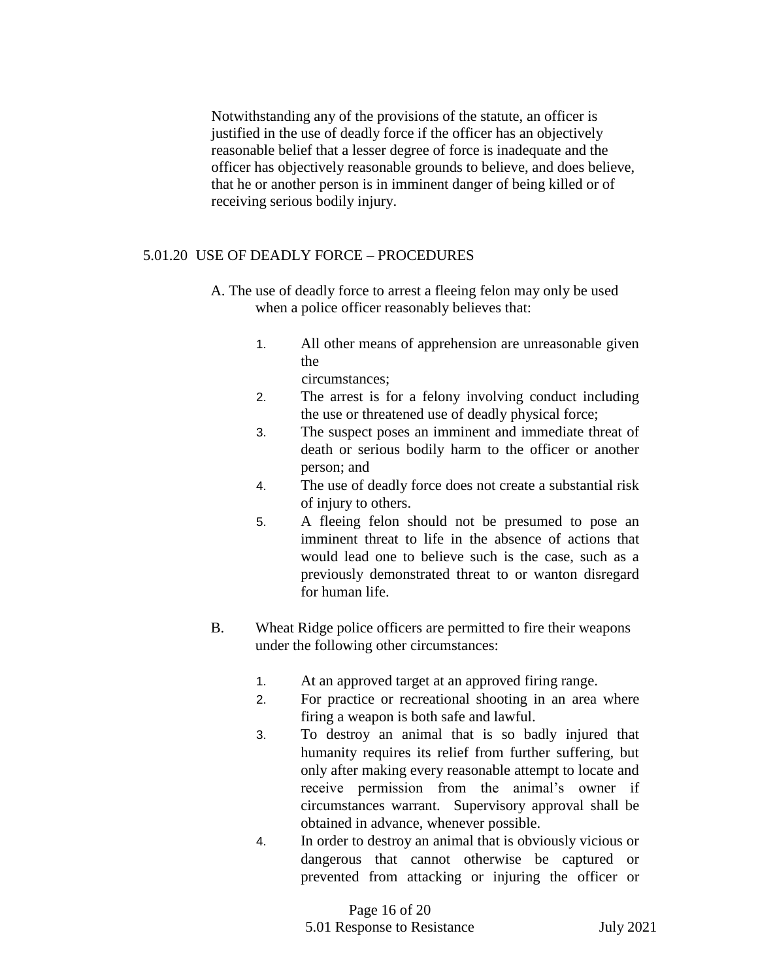Notwithstanding any of the provisions of the statute, an officer is justified in the use of deadly force if the officer has an objectively reasonable belief that a lesser degree of force is inadequate and the officer has objectively reasonable grounds to believe, and does believe, that he or another person is in imminent danger of being killed or of receiving serious bodily injury.

## 5.01.20 USE OF DEADLY FORCE – PROCEDURES

- A. The use of deadly force to arrest a fleeing felon may only be used when a police officer reasonably believes that:
	- 1. All other means of apprehension are unreasonable given the

circumstances;

- 2. The arrest is for a felony involving conduct including the use or threatened use of deadly physical force;
- 3. The suspect poses an imminent and immediate threat of death or serious bodily harm to the officer or another person; and
- 4. The use of deadly force does not create a substantial risk of injury to others.
- 5. A fleeing felon should not be presumed to pose an imminent threat to life in the absence of actions that would lead one to believe such is the case, such as a previously demonstrated threat to or wanton disregard for human life.
- B. Wheat Ridge police officers are permitted to fire their weapons under the following other circumstances:
	- 1. At an approved target at an approved firing range.
	- 2. For practice or recreational shooting in an area where firing a weapon is both safe and lawful.
	- 3. To destroy an animal that is so badly injured that humanity requires its relief from further suffering, but only after making every reasonable attempt to locate and receive permission from the animal's owner if circumstances warrant. Supervisory approval shall be obtained in advance, whenever possible.
	- 4. In order to destroy an animal that is obviously vicious or dangerous that cannot otherwise be captured or prevented from attacking or injuring the officer or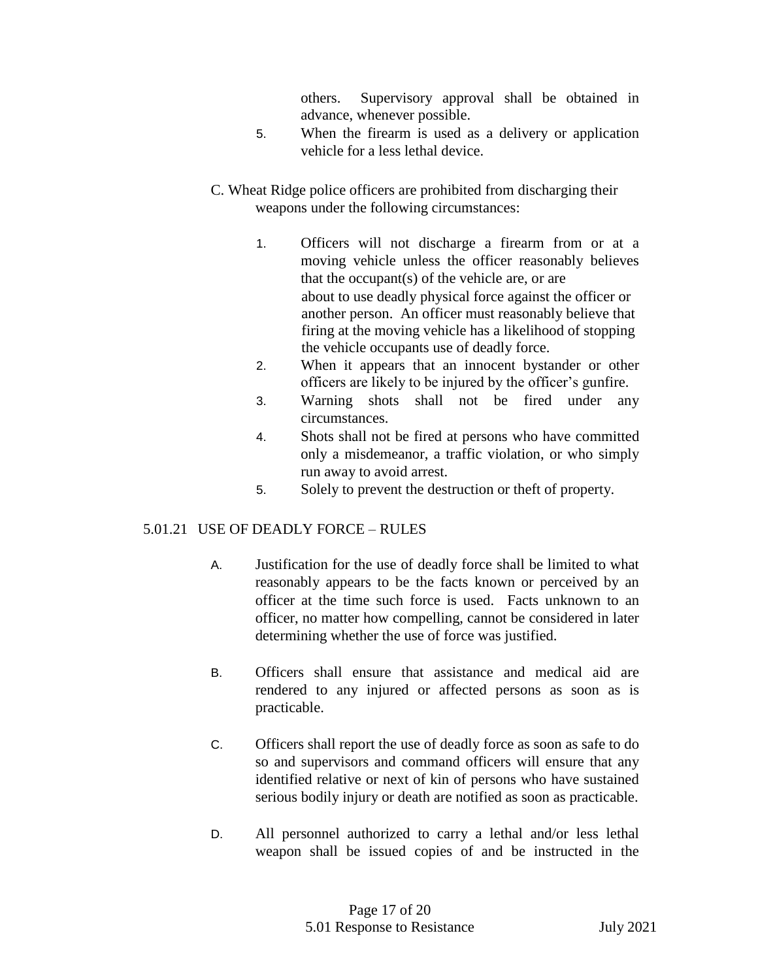others. Supervisory approval shall be obtained in advance, whenever possible.

- 5. When the firearm is used as a delivery or application vehicle for a less lethal device.
- C. Wheat Ridge police officers are prohibited from discharging their weapons under the following circumstances:
	- 1. Officers will not discharge a firearm from or at a moving vehicle unless the officer reasonably believes that the occupant(s) of the vehicle are, or are about to use deadly physical force against the officer or another person. An officer must reasonably believe that firing at the moving vehicle has a likelihood of stopping the vehicle occupants use of deadly force.
	- 2. When it appears that an innocent bystander or other officers are likely to be injured by the officer's gunfire.
	- 3. Warning shots shall not be fired under any circumstances.
	- 4. Shots shall not be fired at persons who have committed only a misdemeanor, a traffic violation, or who simply run away to avoid arrest.
	- 5. Solely to prevent the destruction or theft of property.

# 5.01.21 USE OF DEADLY FORCE – RULES

- A. Justification for the use of deadly force shall be limited to what reasonably appears to be the facts known or perceived by an officer at the time such force is used. Facts unknown to an officer, no matter how compelling, cannot be considered in later determining whether the use of force was justified.
- B. Officers shall ensure that assistance and medical aid are rendered to any injured or affected persons as soon as is practicable.
- C. Officers shall report the use of deadly force as soon as safe to do so and supervisors and command officers will ensure that any identified relative or next of kin of persons who have sustained serious bodily injury or death are notified as soon as practicable.
- D. All personnel authorized to carry a lethal and/or less lethal weapon shall be issued copies of and be instructed in the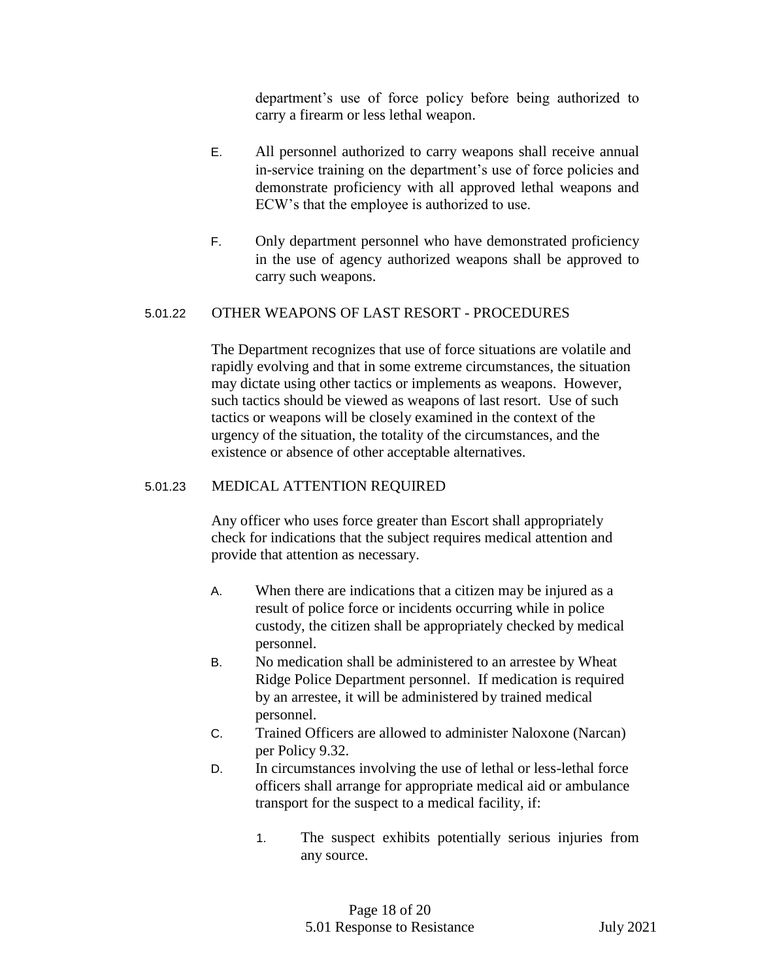department's use of force policy before being authorized to carry a firearm or less lethal weapon.

- E. All personnel authorized to carry weapons shall receive annual in-service training on the department's use of force policies and demonstrate proficiency with all approved lethal weapons and ECW's that the employee is authorized to use.
- F. Only department personnel who have demonstrated proficiency in the use of agency authorized weapons shall be approved to carry such weapons.

#### 5.01.22 OTHER WEAPONS OF LAST RESORT - PROCEDURES

The Department recognizes that use of force situations are volatile and rapidly evolving and that in some extreme circumstances, the situation may dictate using other tactics or implements as weapons. However, such tactics should be viewed as weapons of last resort. Use of such tactics or weapons will be closely examined in the context of the urgency of the situation, the totality of the circumstances, and the existence or absence of other acceptable alternatives.

#### 5.01.23 MEDICAL ATTENTION REQUIRED

Any officer who uses force greater than Escort shall appropriately check for indications that the subject requires medical attention and provide that attention as necessary.

- A. When there are indications that a citizen may be injured as a result of police force or incidents occurring while in police custody, the citizen shall be appropriately checked by medical personnel.
- B. No medication shall be administered to an arrestee by Wheat Ridge Police Department personnel. If medication is required by an arrestee, it will be administered by trained medical personnel.
- C. Trained Officers are allowed to administer Naloxone (Narcan) per Policy 9.32.
- D. In circumstances involving the use of lethal or less-lethal force officers shall arrange for appropriate medical aid or ambulance transport for the suspect to a medical facility, if:
	- 1. The suspect exhibits potentially serious injuries from any source.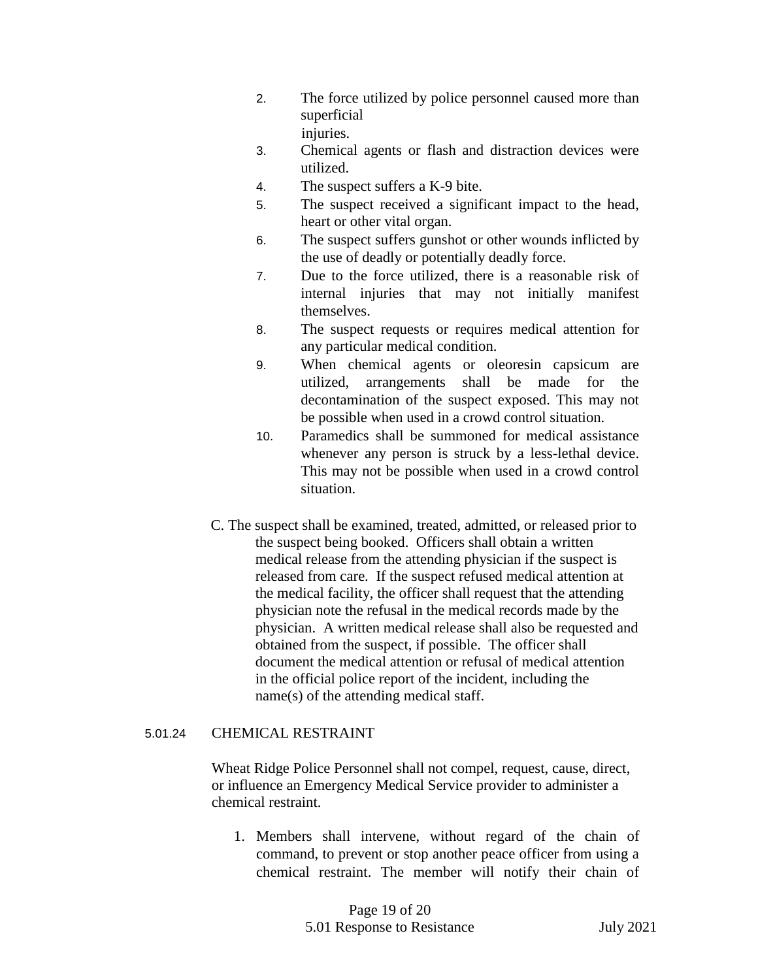- 2. The force utilized by police personnel caused more than superficial injuries.
- 3. Chemical agents or flash and distraction devices were utilized.
- 4. The suspect suffers a K-9 bite.
- 5. The suspect received a significant impact to the head, heart or other vital organ.
- 6. The suspect suffers gunshot or other wounds inflicted by the use of deadly or potentially deadly force.
- 7. Due to the force utilized, there is a reasonable risk of internal injuries that may not initially manifest themselves.
- 8. The suspect requests or requires medical attention for any particular medical condition.
- 9. When chemical agents or oleoresin capsicum are utilized, arrangements shall be made for the decontamination of the suspect exposed. This may not be possible when used in a crowd control situation.
- 10. Paramedics shall be summoned for medical assistance whenever any person is struck by a less-lethal device. This may not be possible when used in a crowd control situation.
- C. The suspect shall be examined, treated, admitted, or released prior to the suspect being booked. Officers shall obtain a written medical release from the attending physician if the suspect is released from care. If the suspect refused medical attention at the medical facility, the officer shall request that the attending physician note the refusal in the medical records made by the physician. A written medical release shall also be requested and obtained from the suspect, if possible. The officer shall document the medical attention or refusal of medical attention in the official police report of the incident, including the name(s) of the attending medical staff.

#### 5.01.24 CHEMICAL RESTRAINT

Wheat Ridge Police Personnel shall not compel, request, cause, direct, or influence an Emergency Medical Service provider to administer a chemical restraint.

1. Members shall intervene, without regard of the chain of command, to prevent or stop another peace officer from using a chemical restraint. The member will notify their chain of